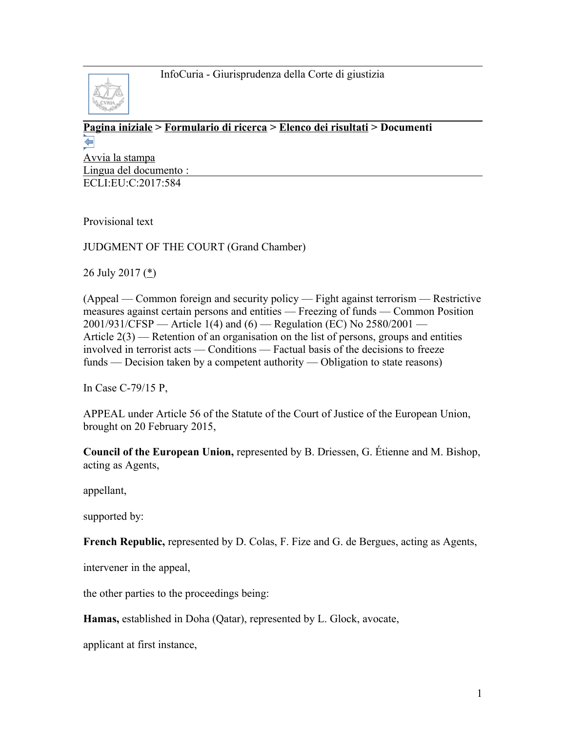

#### **[Pagina iniziale](http://curia.europa.eu/jcms/jcms/j_6?PortalAction_x_000_userLang=it) > [Formulario di ricerca](http://curia.europa.eu/juris/document/document.jsf?doclang=EN&text=&pageIndex=0&part=1&mode=lst&docid=193202&occ=first&dir=&actionMethod=document%2Fdocument.xhtml%3AformController.resetAction&cid=963291) > [Elenco dei risultati](http://curia.europa.eu/juris/documents.jsf?pro=&lgrec=it&nat=or&oqp=&lg=&dates=&language=it&jur=C%2CT%2CF&cit=none%252CC%252CCJ%252CR%252C2008E%252C%252C%252C%252C%252C%252C%252C%252C%252C%252Ctrue%252Cfalse%252Cfalse&num=C-79%252F15P&td=%3BALL&pcs=Oor&avg=&page=1&mat=or&jge=&for=&cid=963291) > Documenti**  ⇚

[Avvia la stampa](http://curia.europa.eu/juris/document/document_print.jsf?doclang=EN&text=&pageIndex=0&part=1&mode=lst&docid=193202&occ=first&dir=&cid=963291) Lingua del documento : ECLI:EU:C:2017:584

Provisional text

## JUDGMENT OF THE COURT (Grand Chamber)

26 July 2017 [\(\\*\)](http://curia.europa.eu/juris/document/document.jsf?text=&docid=193202&pageIndex=0&doclang=EN&mode=lst&dir=&occ=first&part=1&cid=963291#Footnote*)

(Appeal — Common foreign and security policy — Fight against terrorism — Restrictive measures against certain persons and entities — Freezing of funds — Common Position 2001/931/CFSP — Article 1(4) and (6) — Regulation (EC) No 2580/2001 — Article 2(3) — Retention of an organisation on the list of persons, groups and entities involved in terrorist acts — Conditions — Factual basis of the decisions to freeze funds — Decision taken by a competent authority — Obligation to state reasons)

In Case C-79/15 P,

APPEAL under Article 56 of the Statute of the Court of Justice of the European Union, brought on 20 February 2015,

**Council of the European Union,** represented by B. Driessen, G. Étienne and M. Bishop, acting as Agents,

appellant,

supported by:

**French Republic,** represented by D. Colas, F. Fize and G. de Bergues, acting as Agents,

intervener in the appeal,

the other parties to the proceedings being:

**Hamas,** established in Doha (Qatar), represented by L. Glock, avocate,

applicant at first instance,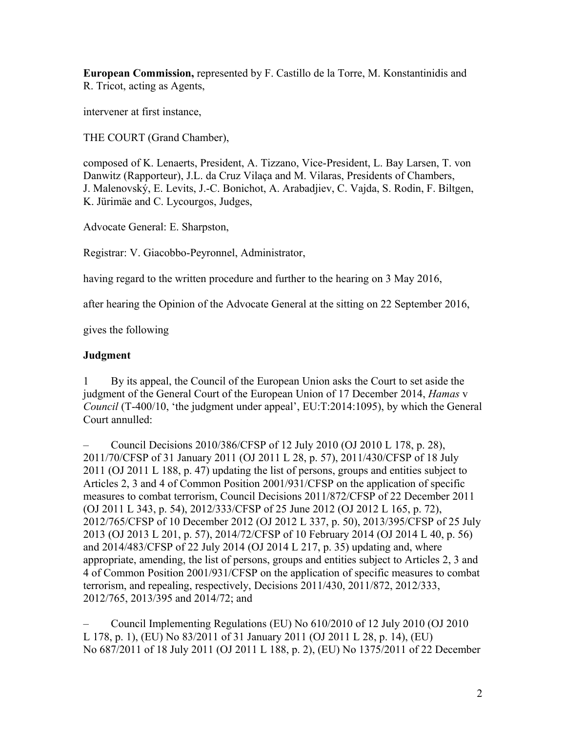**European Commission,** represented by F. Castillo de la Torre, M. Konstantinidis and R. Tricot, acting as Agents,

intervener at first instance,

THE COURT (Grand Chamber),

composed of K. Lenaerts, President, A. Tizzano, Vice-President, L. Bay Larsen, T. von Danwitz (Rapporteur), J.L. da Cruz Vilaça and M. Vilaras, Presidents of Chambers, J. Malenovský, E. Levits, J.-C. Bonichot, A. Arabadjiev, C. Vajda, S. Rodin, F. Biltgen, K. Jürimäe and C. Lycourgos, Judges,

Advocate General: E. Sharpston,

Registrar: V. Giacobbo-Peyronnel, Administrator,

having regard to the written procedure and further to the hearing on 3 May 2016,

after hearing the Opinion of the Advocate General at the sitting on 22 September 2016,

gives the following

### **Judgment**

1 By its appeal, the Council of the European Union asks the Court to set aside the judgment of the General Court of the European Union of 17 December 2014, *Hamas* v *Council* (T-400/10, 'the judgment under appeal', EU:T:2014:1095), by which the General Court annulled:

– Council Decisions 2010/386/CFSP of 12 July 2010 (OJ 2010 L 178, p. 28), 2011/70/CFSP of 31 January 2011 (OJ 2011 L 28, p. 57), 2011/430/CFSP of 18 July 2011 (OJ 2011 L 188, p. 47) updating the list of persons, groups and entities subject to Articles 2, 3 and 4 of Common Position 2001/931/CFSP on the application of specific measures to combat terrorism, Council Decisions 2011/872/CFSP of 22 December 2011 (OJ 2011 L 343, p. 54), 2012/333/CFSP of 25 June 2012 (OJ 2012 L 165, p. 72), 2012/765/CFSP of 10 December 2012 (OJ 2012 L 337, p. 50), 2013/395/CFSP of 25 July 2013 (OJ 2013 L 201, p. 57), 2014/72/CFSP of 10 February 2014 (OJ 2014 L 40, p. 56) and 2014/483/CFSP of 22 July 2014 (OJ 2014 L 217, p. 35) updating and, where appropriate, amending, the list of persons, groups and entities subject to Articles 2, 3 and 4 of Common Position 2001/931/CFSP on the application of specific measures to combat terrorism, and repealing, respectively, Decisions 2011/430, 2011/872, 2012/333, 2012/765, 2013/395 and 2014/72; and

– Council Implementing Regulations (EU) No 610/2010 of 12 July 2010 (OJ 2010 L 178, p. 1), (EU) No 83/2011 of 31 January 2011 (OJ 2011 L 28, p. 14), (EU) No 687/2011 of 18 July 2011 (OJ 2011 L 188, p. 2), (EU) No 1375/2011 of 22 December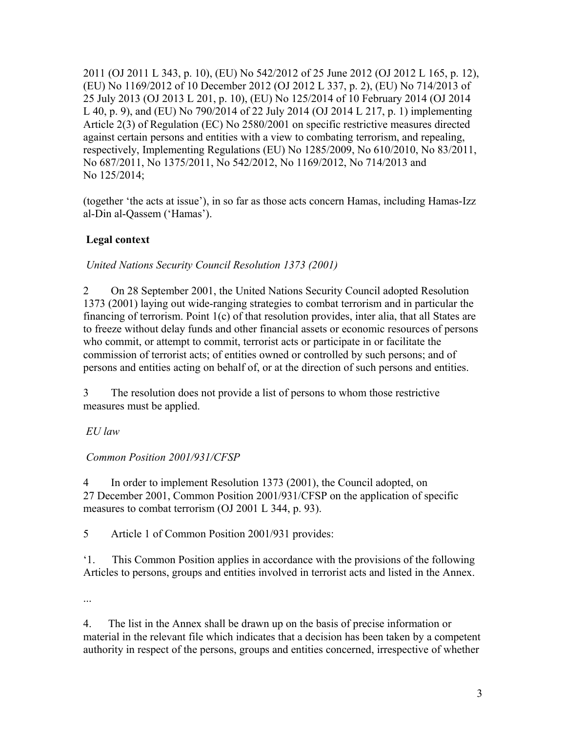2011 (OJ 2011 L 343, p. 10), (EU) No 542/2012 of 25 June 2012 (OJ 2012 L 165, p. 12), (EU) No 1169/2012 of 10 December 2012 (OJ 2012 L 337, p. 2), (EU) No 714/2013 of 25 July 2013 (OJ 2013 L 201, p. 10), (EU) No 125/2014 of 10 February 2014 (OJ 2014 L 40, p. 9), and (EU) No 790/2014 of 22 July 2014 (OJ 2014 L 217, p. 1) implementing Article 2(3) of Regulation (EC) No 2580/2001 on specific restrictive measures directed against certain persons and entities with a view to combating terrorism, and repealing, respectively, Implementing Regulations (EU) No 1285/2009, No 610/2010, No 83/2011, No 687/2011, No 1375/2011, No 542/2012, No 1169/2012, No 714/2013 and No 125/2014;

(together 'the acts at issue'), in so far as those acts concern Hamas, including Hamas-Izz al-Din al-Qassem ('Hamas').

# **Legal context**

*United Nations Security Council Resolution 1373 (2001)*

2 On 28 September 2001, the United Nations Security Council adopted Resolution 1373 (2001) laying out wide-ranging strategies to combat terrorism and in particular the financing of terrorism. Point 1(c) of that resolution provides, inter alia, that all States are to freeze without delay funds and other financial assets or economic resources of persons who commit, or attempt to commit, terrorist acts or participate in or facilitate the commission of terrorist acts; of entities owned or controlled by such persons; and of persons and entities acting on behalf of, or at the direction of such persons and entities.

3 The resolution does not provide a list of persons to whom those restrictive measures must be applied.

*EU law* 

*Common Position 2001/931/CFSP*

4 In order to implement Resolution 1373 (2001), the Council adopted, on 27 December 2001, Common Position 2001/931/CFSP on the application of specific measures to combat terrorism (OJ 2001 L 344, p. 93).

5 Article 1 of Common Position 2001/931 provides:

'1. This Common Position applies in accordance with the provisions of the following Articles to persons, groups and entities involved in terrorist acts and listed in the Annex.

...

4. The list in the Annex shall be drawn up on the basis of precise information or material in the relevant file which indicates that a decision has been taken by a competent authority in respect of the persons, groups and entities concerned, irrespective of whether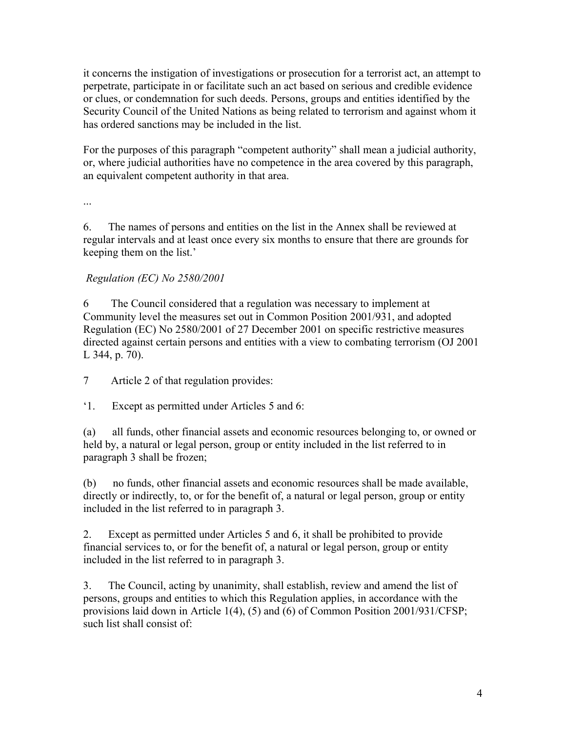it concerns the instigation of investigations or prosecution for a terrorist act, an attempt to perpetrate, participate in or facilitate such an act based on serious and credible evidence or clues, or condemnation for such deeds. Persons, groups and entities identified by the Security Council of the United Nations as being related to terrorism and against whom it has ordered sanctions may be included in the list.

For the purposes of this paragraph "competent authority" shall mean a judicial authority, or, where judicial authorities have no competence in the area covered by this paragraph, an equivalent competent authority in that area.

...

6. The names of persons and entities on the list in the Annex shall be reviewed at regular intervals and at least once every six months to ensure that there are grounds for keeping them on the list.'

## *Regulation (EC) No 2580/2001*

6 The Council considered that a regulation was necessary to implement at Community level the measures set out in Common Position 2001/931, and adopted Regulation (EC) No 2580/2001 of 27 December 2001 on specific restrictive measures directed against certain persons and entities with a view to combating terrorism (OJ 2001 L 344, p. 70).

7 Article 2 of that regulation provides:

'1. Except as permitted under Articles 5 and 6:

(a) all funds, other financial assets and economic resources belonging to, or owned or held by, a natural or legal person, group or entity included in the list referred to in paragraph 3 shall be frozen;

(b) no funds, other financial assets and economic resources shall be made available, directly or indirectly, to, or for the benefit of, a natural or legal person, group or entity included in the list referred to in paragraph 3.

2. Except as permitted under Articles 5 and 6, it shall be prohibited to provide financial services to, or for the benefit of, a natural or legal person, group or entity included in the list referred to in paragraph 3.

3. The Council, acting by unanimity, shall establish, review and amend the list of persons, groups and entities to which this Regulation applies, in accordance with the provisions laid down in Article 1(4), (5) and (6) of Common Position 2001/931/CFSP; such list shall consist of: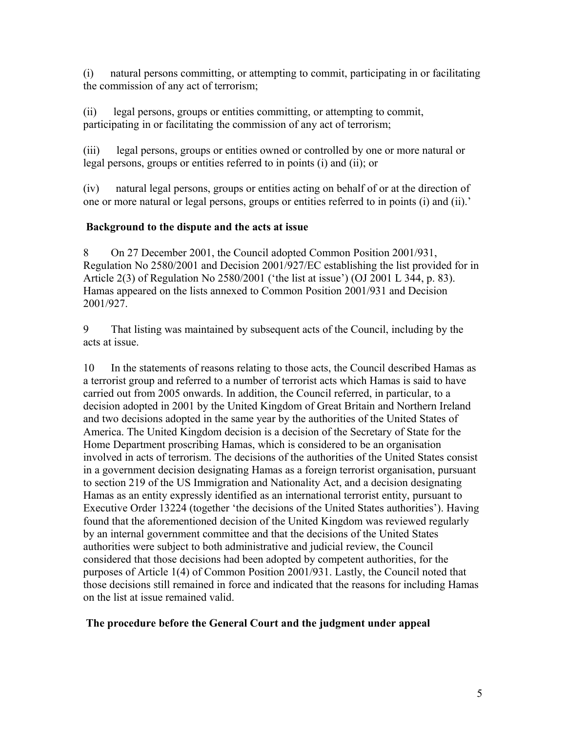(i) natural persons committing, or attempting to commit, participating in or facilitating the commission of any act of terrorism;

(ii) legal persons, groups or entities committing, or attempting to commit, participating in or facilitating the commission of any act of terrorism;

(iii) legal persons, groups or entities owned or controlled by one or more natural or legal persons, groups or entities referred to in points (i) and (ii); or

(iv) natural legal persons, groups or entities acting on behalf of or at the direction of one or more natural or legal persons, groups or entities referred to in points (i) and (ii).'

### **Background to the dispute and the acts at issue**

8 On 27 December 2001, the Council adopted Common Position 2001/931, Regulation No 2580/2001 and Decision 2001/927/EC establishing the list provided for in Article 2(3) of Regulation No 2580/2001 ('the list at issue') (OJ 2001 L 344, p. 83). Hamas appeared on the lists annexed to Common Position 2001/931 and Decision 2001/927.

9 That listing was maintained by subsequent acts of the Council, including by the acts at issue.

10 In the statements of reasons relating to those acts, the Council described Hamas as a terrorist group and referred to a number of terrorist acts which Hamas is said to have carried out from 2005 onwards. In addition, the Council referred, in particular, to a decision adopted in 2001 by the United Kingdom of Great Britain and Northern Ireland and two decisions adopted in the same year by the authorities of the United States of America. The United Kingdom decision is a decision of the Secretary of State for the Home Department proscribing Hamas, which is considered to be an organisation involved in acts of terrorism. The decisions of the authorities of the United States consist in a government decision designating Hamas as a foreign terrorist organisation, pursuant to section 219 of the US Immigration and Nationality Act, and a decision designating Hamas as an entity expressly identified as an international terrorist entity, pursuant to Executive Order 13224 (together 'the decisions of the United States authorities'). Having found that the aforementioned decision of the United Kingdom was reviewed regularly by an internal government committee and that the decisions of the United States authorities were subject to both administrative and judicial review, the Council considered that those decisions had been adopted by competent authorities, for the purposes of Article 1(4) of Common Position 2001/931. Lastly, the Council noted that those decisions still remained in force and indicated that the reasons for including Hamas on the list at issue remained valid.

#### **The procedure before the General Court and the judgment under appeal**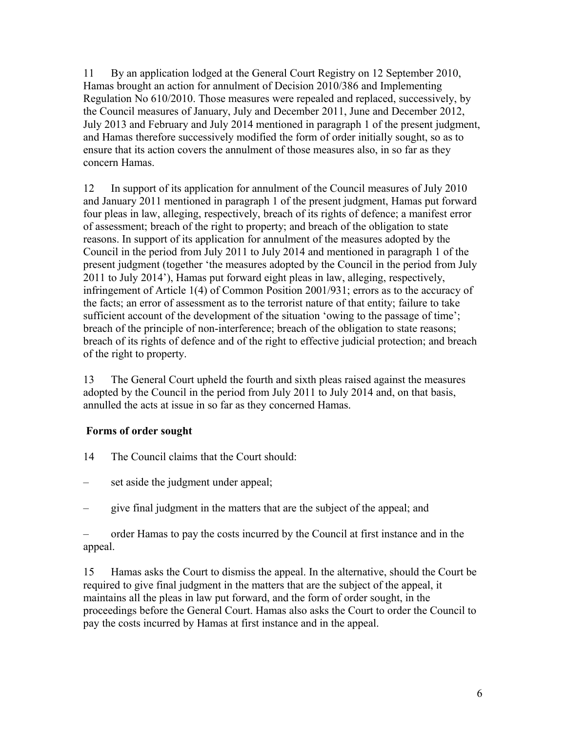11 By an application lodged at the General Court Registry on 12 September 2010, Hamas brought an action for annulment of Decision 2010/386 and Implementing Regulation No 610/2010. Those measures were repealed and replaced, successively, by the Council measures of January, July and December 2011, June and December 2012, July 2013 and February and July 2014 mentioned in paragraph 1 of the present judgment, and Hamas therefore successively modified the form of order initially sought, so as to ensure that its action covers the annulment of those measures also, in so far as they concern Hamas.

12 In support of its application for annulment of the Council measures of July 2010 and January 2011 mentioned in paragraph 1 of the present judgment, Hamas put forward four pleas in law, alleging, respectively, breach of its rights of defence; a manifest error of assessment; breach of the right to property; and breach of the obligation to state reasons. In support of its application for annulment of the measures adopted by the Council in the period from July 2011 to July 2014 and mentioned in paragraph 1 of the present judgment (together 'the measures adopted by the Council in the period from July 2011 to July 2014'), Hamas put forward eight pleas in law, alleging, respectively, infringement of Article 1(4) of Common Position 2001/931; errors as to the accuracy of the facts; an error of assessment as to the terrorist nature of that entity; failure to take sufficient account of the development of the situation 'owing to the passage of time'; breach of the principle of non-interference; breach of the obligation to state reasons; breach of its rights of defence and of the right to effective judicial protection; and breach of the right to property.

13 The General Court upheld the fourth and sixth pleas raised against the measures adopted by the Council in the period from July 2011 to July 2014 and, on that basis, annulled the acts at issue in so far as they concerned Hamas.

### **Forms of order sought**

- 14 The Council claims that the Court should:
- set aside the judgment under appeal;
- give final judgment in the matters that are the subject of the appeal; and

– order Hamas to pay the costs incurred by the Council at first instance and in the appeal.

15 Hamas asks the Court to dismiss the appeal. In the alternative, should the Court be required to give final judgment in the matters that are the subject of the appeal, it maintains all the pleas in law put forward, and the form of order sought, in the proceedings before the General Court. Hamas also asks the Court to order the Council to pay the costs incurred by Hamas at first instance and in the appeal.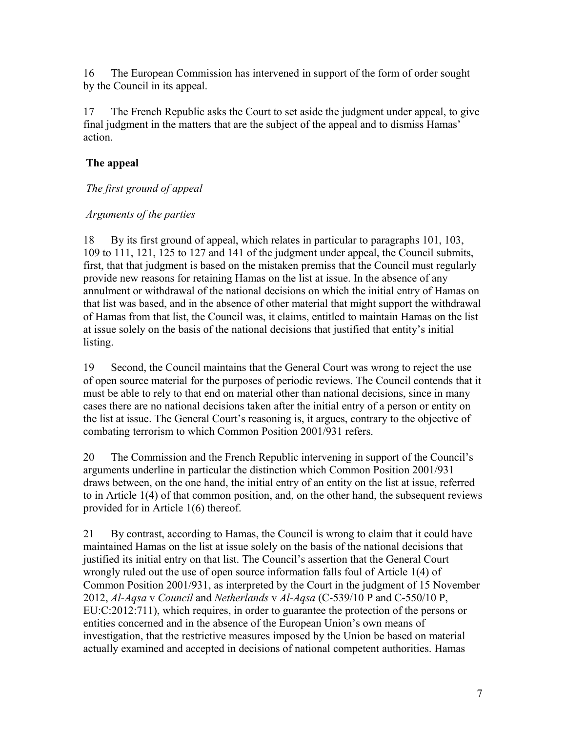16 The European Commission has intervened in support of the form of order sought by the Council in its appeal.

17 The French Republic asks the Court to set aside the judgment under appeal, to give final judgment in the matters that are the subject of the appeal and to dismiss Hamas' action.

## **The appeal**

### *The first ground of appeal*

### *Arguments of the parties*

18 By its first ground of appeal, which relates in particular to paragraphs 101, 103, 109 to 111, 121, 125 to 127 and 141 of the judgment under appeal, the Council submits, first, that that judgment is based on the mistaken premiss that the Council must regularly provide new reasons for retaining Hamas on the list at issue. In the absence of any annulment or withdrawal of the national decisions on which the initial entry of Hamas on that list was based, and in the absence of other material that might support the withdrawal of Hamas from that list, the Council was, it claims, entitled to maintain Hamas on the list at issue solely on the basis of the national decisions that justified that entity's initial listing.

19 Second, the Council maintains that the General Court was wrong to reject the use of open source material for the purposes of periodic reviews. The Council contends that it must be able to rely to that end on material other than national decisions, since in many cases there are no national decisions taken after the initial entry of a person or entity on the list at issue. The General Court's reasoning is, it argues, contrary to the objective of combating terrorism to which Common Position 2001/931 refers.

20 The Commission and the French Republic intervening in support of the Council's arguments underline in particular the distinction which Common Position 2001/931 draws between, on the one hand, the initial entry of an entity on the list at issue, referred to in Article 1(4) of that common position, and, on the other hand, the subsequent reviews provided for in Article 1(6) thereof.

21 By contrast, according to Hamas, the Council is wrong to claim that it could have maintained Hamas on the list at issue solely on the basis of the national decisions that justified its initial entry on that list. The Council's assertion that the General Court wrongly ruled out the use of open source information falls foul of Article 1(4) of Common Position 2001/931, as interpreted by the Court in the judgment of 15 November 2012, *Al-Aqsa* v *Council* and *Netherlands* v *Al-Aqsa* (C-539/10 P and C-550/10 P, EU:C:2012:711), which requires, in order to guarantee the protection of the persons or entities concerned and in the absence of the European Union's own means of investigation, that the restrictive measures imposed by the Union be based on material actually examined and accepted in decisions of national competent authorities. Hamas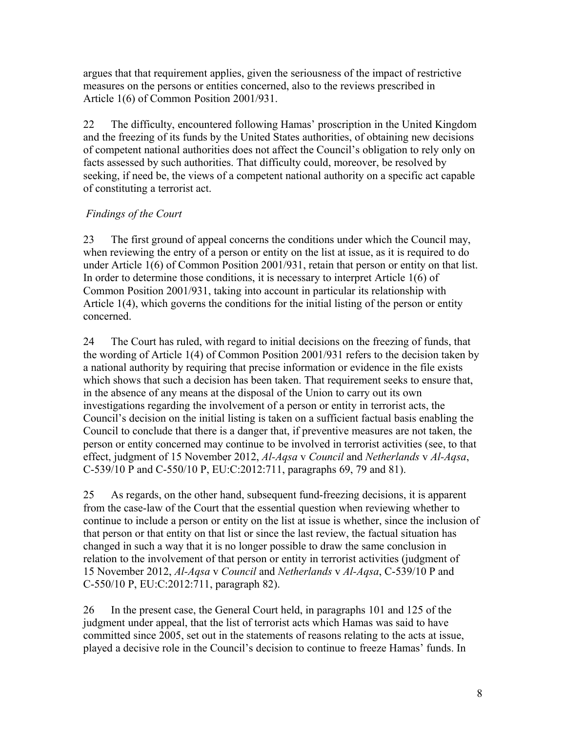argues that that requirement applies, given the seriousness of the impact of restrictive measures on the persons or entities concerned, also to the reviews prescribed in Article 1(6) of Common Position 2001/931.

22 The difficulty, encountered following Hamas' proscription in the United Kingdom and the freezing of its funds by the United States authorities, of obtaining new decisions of competent national authorities does not affect the Council's obligation to rely only on facts assessed by such authorities. That difficulty could, moreover, be resolved by seeking, if need be, the views of a competent national authority on a specific act capable of constituting a terrorist act.

## *Findings of the Court*

23 The first ground of appeal concerns the conditions under which the Council may, when reviewing the entry of a person or entity on the list at issue, as it is required to do under Article 1(6) of Common Position 2001/931, retain that person or entity on that list. In order to determine those conditions, it is necessary to interpret Article 1(6) of Common Position 2001/931, taking into account in particular its relationship with Article 1(4), which governs the conditions for the initial listing of the person or entity concerned.

24 The Court has ruled, with regard to initial decisions on the freezing of funds, that the wording of Article 1(4) of Common Position 2001/931 refers to the decision taken by a national authority by requiring that precise information or evidence in the file exists which shows that such a decision has been taken. That requirement seeks to ensure that, in the absence of any means at the disposal of the Union to carry out its own investigations regarding the involvement of a person or entity in terrorist acts, the Council's decision on the initial listing is taken on a sufficient factual basis enabling the Council to conclude that there is a danger that, if preventive measures are not taken, the person or entity concerned may continue to be involved in terrorist activities (see, to that effect, judgment of 15 November 2012, *Al-Aqsa* v *Council* and *Netherlands* v *Al-Aqsa*, C-539/10 P and C-550/10 P, EU:C:2012:711, paragraphs 69, 79 and 81).

25 As regards, on the other hand, subsequent fund-freezing decisions, it is apparent from the case-law of the Court that the essential question when reviewing whether to continue to include a person or entity on the list at issue is whether, since the inclusion of that person or that entity on that list or since the last review, the factual situation has changed in such a way that it is no longer possible to draw the same conclusion in relation to the involvement of that person or entity in terrorist activities (judgment of 15 November 2012, *Al-Aqsa* v *Council* and *Netherlands* v *Al-Aqsa*, C-539/10 P and C-550/10 P, EU:C:2012:711, paragraph 82).

26 In the present case, the General Court held, in paragraphs 101 and 125 of the judgment under appeal, that the list of terrorist acts which Hamas was said to have committed since 2005, set out in the statements of reasons relating to the acts at issue, played a decisive role in the Council's decision to continue to freeze Hamas' funds. In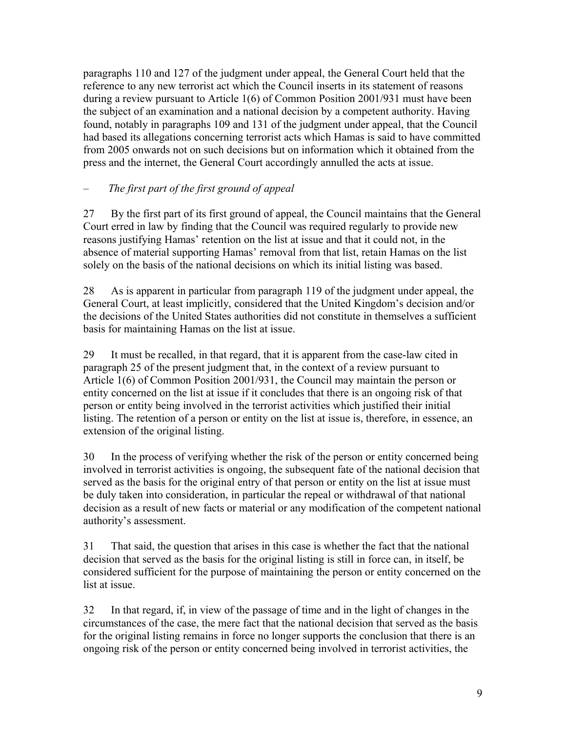paragraphs 110 and 127 of the judgment under appeal, the General Court held that the reference to any new terrorist act which the Council inserts in its statement of reasons during a review pursuant to Article 1(6) of Common Position 2001/931 must have been the subject of an examination and a national decision by a competent authority. Having found, notably in paragraphs 109 and 131 of the judgment under appeal, that the Council had based its allegations concerning terrorist acts which Hamas is said to have committed from 2005 onwards not on such decisions but on information which it obtained from the press and the internet, the General Court accordingly annulled the acts at issue.

## – *The first part of the first ground of appeal*

27 By the first part of its first ground of appeal, the Council maintains that the General Court erred in law by finding that the Council was required regularly to provide new reasons justifying Hamas' retention on the list at issue and that it could not, in the absence of material supporting Hamas' removal from that list, retain Hamas on the list solely on the basis of the national decisions on which its initial listing was based.

28 As is apparent in particular from paragraph 119 of the judgment under appeal, the General Court, at least implicitly, considered that the United Kingdom's decision and/or the decisions of the United States authorities did not constitute in themselves a sufficient basis for maintaining Hamas on the list at issue.

29 It must be recalled, in that regard, that it is apparent from the case-law cited in paragraph 25 of the present judgment that, in the context of a review pursuant to Article 1(6) of Common Position 2001/931, the Council may maintain the person or entity concerned on the list at issue if it concludes that there is an ongoing risk of that person or entity being involved in the terrorist activities which justified their initial listing. The retention of a person or entity on the list at issue is, therefore, in essence, an extension of the original listing.

30 In the process of verifying whether the risk of the person or entity concerned being involved in terrorist activities is ongoing, the subsequent fate of the national decision that served as the basis for the original entry of that person or entity on the list at issue must be duly taken into consideration, in particular the repeal or withdrawal of that national decision as a result of new facts or material or any modification of the competent national authority's assessment.

31 That said, the question that arises in this case is whether the fact that the national decision that served as the basis for the original listing is still in force can, in itself, be considered sufficient for the purpose of maintaining the person or entity concerned on the list at issue.

32 In that regard, if, in view of the passage of time and in the light of changes in the circumstances of the case, the mere fact that the national decision that served as the basis for the original listing remains in force no longer supports the conclusion that there is an ongoing risk of the person or entity concerned being involved in terrorist activities, the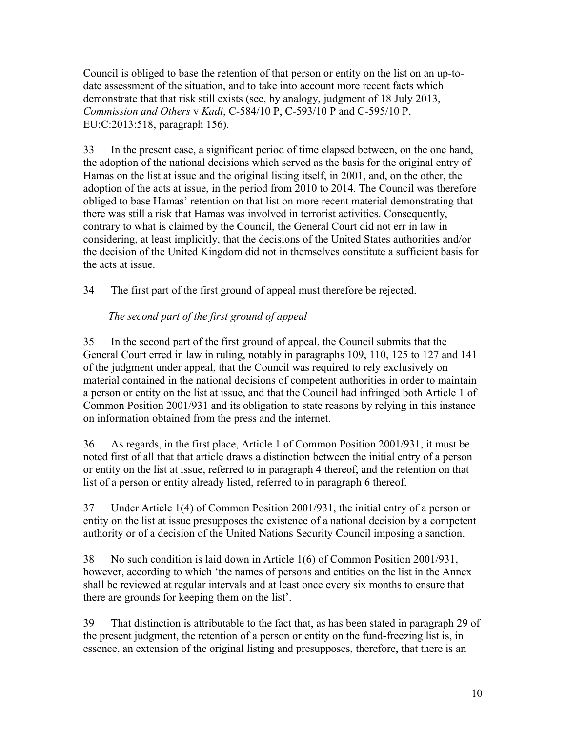Council is obliged to base the retention of that person or entity on the list on an up-todate assessment of the situation, and to take into account more recent facts which demonstrate that that risk still exists (see, by analogy, judgment of 18 July 2013, *Commission and Others* v *Kadi*, C-584/10 P, C-593/10 P and C-595/10 P, EU:C:2013:518, paragraph 156).

33 In the present case, a significant period of time elapsed between, on the one hand, the adoption of the national decisions which served as the basis for the original entry of Hamas on the list at issue and the original listing itself, in 2001, and, on the other, the adoption of the acts at issue, in the period from 2010 to 2014. The Council was therefore obliged to base Hamas' retention on that list on more recent material demonstrating that there was still a risk that Hamas was involved in terrorist activities. Consequently, contrary to what is claimed by the Council, the General Court did not err in law in considering, at least implicitly, that the decisions of the United States authorities and/or the decision of the United Kingdom did not in themselves constitute a sufficient basis for the acts at issue.

34 The first part of the first ground of appeal must therefore be rejected.

## – *The second part of the first ground of appeal*

35 In the second part of the first ground of appeal, the Council submits that the General Court erred in law in ruling, notably in paragraphs 109, 110, 125 to 127 and 141 of the judgment under appeal, that the Council was required to rely exclusively on material contained in the national decisions of competent authorities in order to maintain a person or entity on the list at issue, and that the Council had infringed both Article 1 of Common Position 2001/931 and its obligation to state reasons by relying in this instance on information obtained from the press and the internet.

36 As regards, in the first place, Article 1 of Common Position 2001/931, it must be noted first of all that that article draws a distinction between the initial entry of a person or entity on the list at issue, referred to in paragraph 4 thereof, and the retention on that list of a person or entity already listed, referred to in paragraph 6 thereof.

37 Under Article 1(4) of Common Position 2001/931, the initial entry of a person or entity on the list at issue presupposes the existence of a national decision by a competent authority or of a decision of the United Nations Security Council imposing a sanction.

38 No such condition is laid down in Article 1(6) of Common Position 2001/931, however, according to which 'the names of persons and entities on the list in the Annex shall be reviewed at regular intervals and at least once every six months to ensure that there are grounds for keeping them on the list'.

39 That distinction is attributable to the fact that, as has been stated in paragraph 29 of the present judgment, the retention of a person or entity on the fund-freezing list is, in essence, an extension of the original listing and presupposes, therefore, that there is an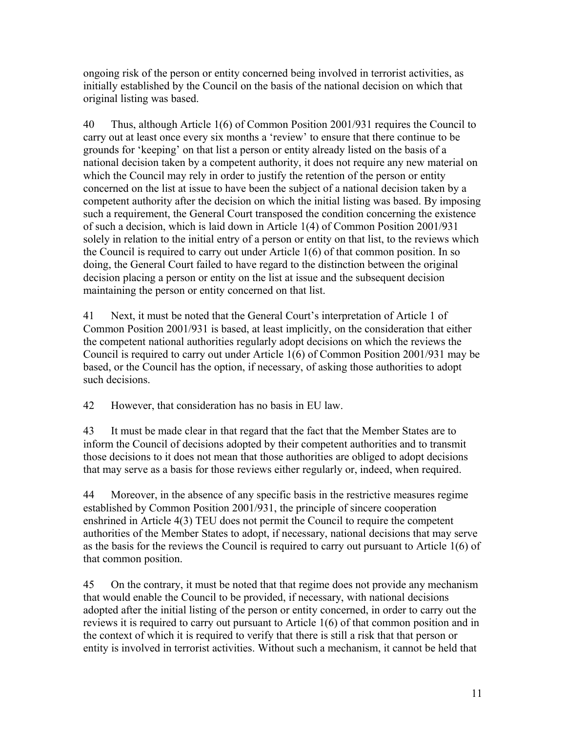ongoing risk of the person or entity concerned being involved in terrorist activities, as initially established by the Council on the basis of the national decision on which that original listing was based.

40 Thus, although Article 1(6) of Common Position 2001/931 requires the Council to carry out at least once every six months a 'review' to ensure that there continue to be grounds for 'keeping' on that list a person or entity already listed on the basis of a national decision taken by a competent authority, it does not require any new material on which the Council may rely in order to justify the retention of the person or entity concerned on the list at issue to have been the subject of a national decision taken by a competent authority after the decision on which the initial listing was based. By imposing such a requirement, the General Court transposed the condition concerning the existence of such a decision, which is laid down in Article 1(4) of Common Position 2001/931 solely in relation to the initial entry of a person or entity on that list, to the reviews which the Council is required to carry out under Article 1(6) of that common position. In so doing, the General Court failed to have regard to the distinction between the original decision placing a person or entity on the list at issue and the subsequent decision maintaining the person or entity concerned on that list.

41 Next, it must be noted that the General Court's interpretation of Article 1 of Common Position 2001/931 is based, at least implicitly, on the consideration that either the competent national authorities regularly adopt decisions on which the reviews the Council is required to carry out under Article 1(6) of Common Position 2001/931 may be based, or the Council has the option, if necessary, of asking those authorities to adopt such decisions.

42 However, that consideration has no basis in EU law.

43 It must be made clear in that regard that the fact that the Member States are to inform the Council of decisions adopted by their competent authorities and to transmit those decisions to it does not mean that those authorities are obliged to adopt decisions that may serve as a basis for those reviews either regularly or, indeed, when required.

44 Moreover, in the absence of any specific basis in the restrictive measures regime established by Common Position 2001/931, the principle of sincere cooperation enshrined in Article 4(3) TEU does not permit the Council to require the competent authorities of the Member States to adopt, if necessary, national decisions that may serve as the basis for the reviews the Council is required to carry out pursuant to Article 1(6) of that common position.

45 On the contrary, it must be noted that that regime does not provide any mechanism that would enable the Council to be provided, if necessary, with national decisions adopted after the initial listing of the person or entity concerned, in order to carry out the reviews it is required to carry out pursuant to Article 1(6) of that common position and in the context of which it is required to verify that there is still a risk that that person or entity is involved in terrorist activities. Without such a mechanism, it cannot be held that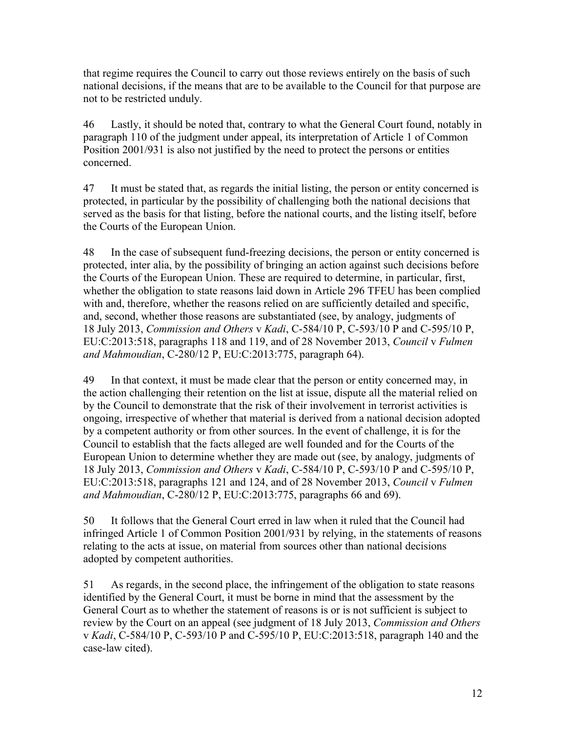that regime requires the Council to carry out those reviews entirely on the basis of such national decisions, if the means that are to be available to the Council for that purpose are not to be restricted unduly.

46 Lastly, it should be noted that, contrary to what the General Court found, notably in paragraph 110 of the judgment under appeal, its interpretation of Article 1 of Common Position 2001/931 is also not justified by the need to protect the persons or entities concerned.

47 It must be stated that, as regards the initial listing, the person or entity concerned is protected, in particular by the possibility of challenging both the national decisions that served as the basis for that listing, before the national courts, and the listing itself, before the Courts of the European Union.

48 In the case of subsequent fund-freezing decisions, the person or entity concerned is protected, inter alia, by the possibility of bringing an action against such decisions before the Courts of the European Union. These are required to determine, in particular, first, whether the obligation to state reasons laid down in Article 296 TFEU has been complied with and, therefore, whether the reasons relied on are sufficiently detailed and specific, and, second, whether those reasons are substantiated (see, by analogy, judgments of 18 July 2013, *Commission and Others* v *Kadi*, C-584/10 P, C-593/10 P and C-595/10 P, EU:C:2013:518, paragraphs 118 and 119, and of 28 November 2013, *Council* v *Fulmen and Mahmoudian*, C-280/12 P, EU:C:2013:775, paragraph 64).

49 In that context, it must be made clear that the person or entity concerned may, in the action challenging their retention on the list at issue, dispute all the material relied on by the Council to demonstrate that the risk of their involvement in terrorist activities is ongoing, irrespective of whether that material is derived from a national decision adopted by a competent authority or from other sources. In the event of challenge, it is for the Council to establish that the facts alleged are well founded and for the Courts of the European Union to determine whether they are made out (see, by analogy, judgments of 18 July 2013, *Commission and Others* v *Kadi*, C-584/10 P, C-593/10 P and C-595/10 P, EU:C:2013:518, paragraphs 121 and 124, and of 28 November 2013, *Council* v *Fulmen and Mahmoudian*, C-280/12 P, EU:C:2013:775, paragraphs 66 and 69).

50 It follows that the General Court erred in law when it ruled that the Council had infringed Article 1 of Common Position 2001/931 by relying, in the statements of reasons relating to the acts at issue, on material from sources other than national decisions adopted by competent authorities.

51 As regards, in the second place, the infringement of the obligation to state reasons identified by the General Court, it must be borne in mind that the assessment by the General Court as to whether the statement of reasons is or is not sufficient is subject to review by the Court on an appeal (see judgment of 18 July 2013, *Commission and Others* v *Kadi*, C-584/10 P, C-593/10 P and C-595/10 P, EU:C:2013:518, paragraph 140 and the case-law cited).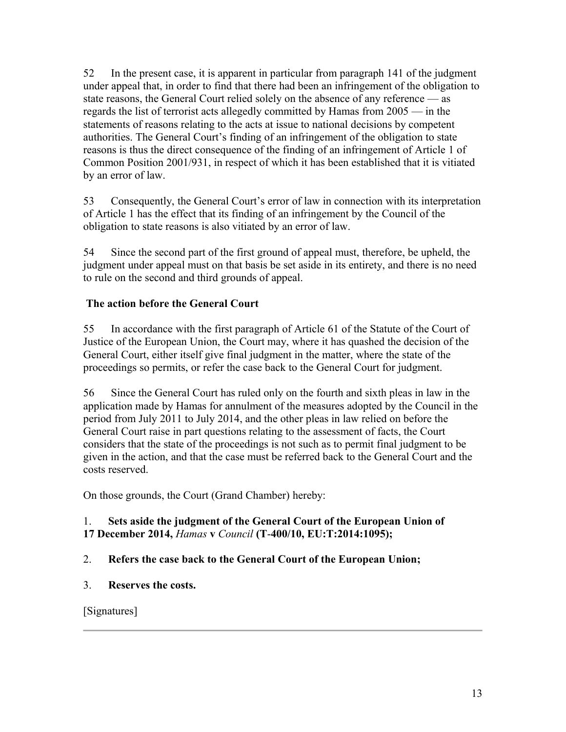52 In the present case, it is apparent in particular from paragraph 141 of the judgment under appeal that, in order to find that there had been an infringement of the obligation to state reasons, the General Court relied solely on the absence of any reference — as regards the list of terrorist acts allegedly committed by Hamas from 2005 — in the statements of reasons relating to the acts at issue to national decisions by competent authorities. The General Court's finding of an infringement of the obligation to state reasons is thus the direct consequence of the finding of an infringement of Article 1 of Common Position 2001/931, in respect of which it has been established that it is vitiated by an error of law.

53 Consequently, the General Court's error of law in connection with its interpretation of Article 1 has the effect that its finding of an infringement by the Council of the obligation to state reasons is also vitiated by an error of law.

54 Since the second part of the first ground of appeal must, therefore, be upheld, the judgment under appeal must on that basis be set aside in its entirety, and there is no need to rule on the second and third grounds of appeal.

## **The action before the General Court**

55 In accordance with the first paragraph of Article 61 of the Statute of the Court of Justice of the European Union, the Court may, where it has quashed the decision of the General Court, either itself give final judgment in the matter, where the state of the proceedings so permits, or refer the case back to the General Court for judgment.

56 Since the General Court has ruled only on the fourth and sixth pleas in law in the application made by Hamas for annulment of the measures adopted by the Council in the period from July 2011 to July 2014, and the other pleas in law relied on before the General Court raise in part questions relating to the assessment of facts, the Court considers that the state of the proceedings is not such as to permit final judgment to be given in the action, and that the case must be referred back to the General Court and the costs reserved.

On those grounds, the Court (Grand Chamber) hereby:

### 1. **Sets aside the judgment of the General Court of the European Union of 17 December 2014,** *Hamas* **v** *Council* **(T**-**400/10, EU:T:2014:1095);**

## 2. **Refers the case back to the General Court of the European Union;**

3. **Reserves the costs.**

[Signatures]